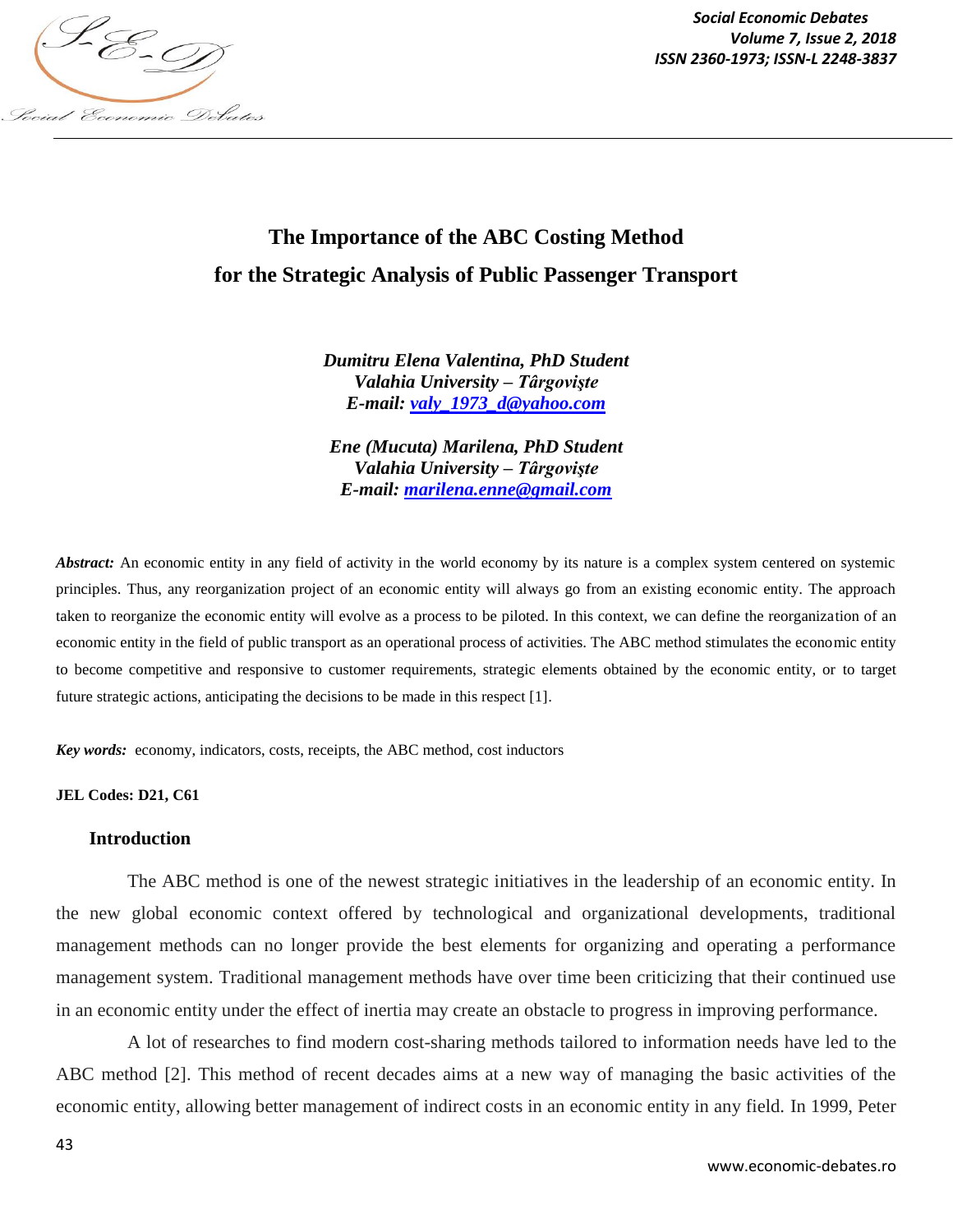

*Social Economic Debates Volume 7, Issue 2, 2018*

# **The Importance of the ABC Costing Method for the Strategic Analysis of Public Passenger Transport**

*Dumitru Elena Valentina, PhD Student Valahia University – Târgovişte E-mail: valy\_1973\_d@yahoo.com*

*Ene (Mucuta) Marilena, PhD Student Valahia University – Târgovişte E-mail: marilena.enne@gmail.com*

*Abstract:* An economic entity in any field of activity in the world economy by its nature is a complex system centered on systemic principles. Thus, any reorganization project of an economic entity will always go from an existing economic entity. The approach taken to reorganize the economic entity will evolve as a process to be piloted. In this context, we can define the reorganization of an economic entity in the field of public transport as an operational process of activities. The ABC method stimulates the economic entity to become competitive and responsive to customer requirements, strategic elements obtained by the economic entity, or to target future strategic actions, anticipating the decisions to be made in this respect [1].

*Key words:* economy, indicators, costs, receipts, the ABC method, cost inductors

**JEL Codes: D21, C61**

#### **Introduction**

The ABC method is one of the newest strategic initiatives in the leadership of an economic entity. In the new global economic context offered by technological and organizational developments, traditional management methods can no longer provide the best elements for organizing and operating a performance management system. Traditional management methods have over time been criticizing that their continued use in an economic entity under the effect of inertia may create an obstacle to progress in improving performance.

A lot of researches to find modern cost-sharing methods tailored to information needs have led to the ABC method [2]. This method of recent decades aims at a new way of managing the basic activities of the economic entity, allowing better management of indirect costs in an economic entity in any field. In 1999, Peter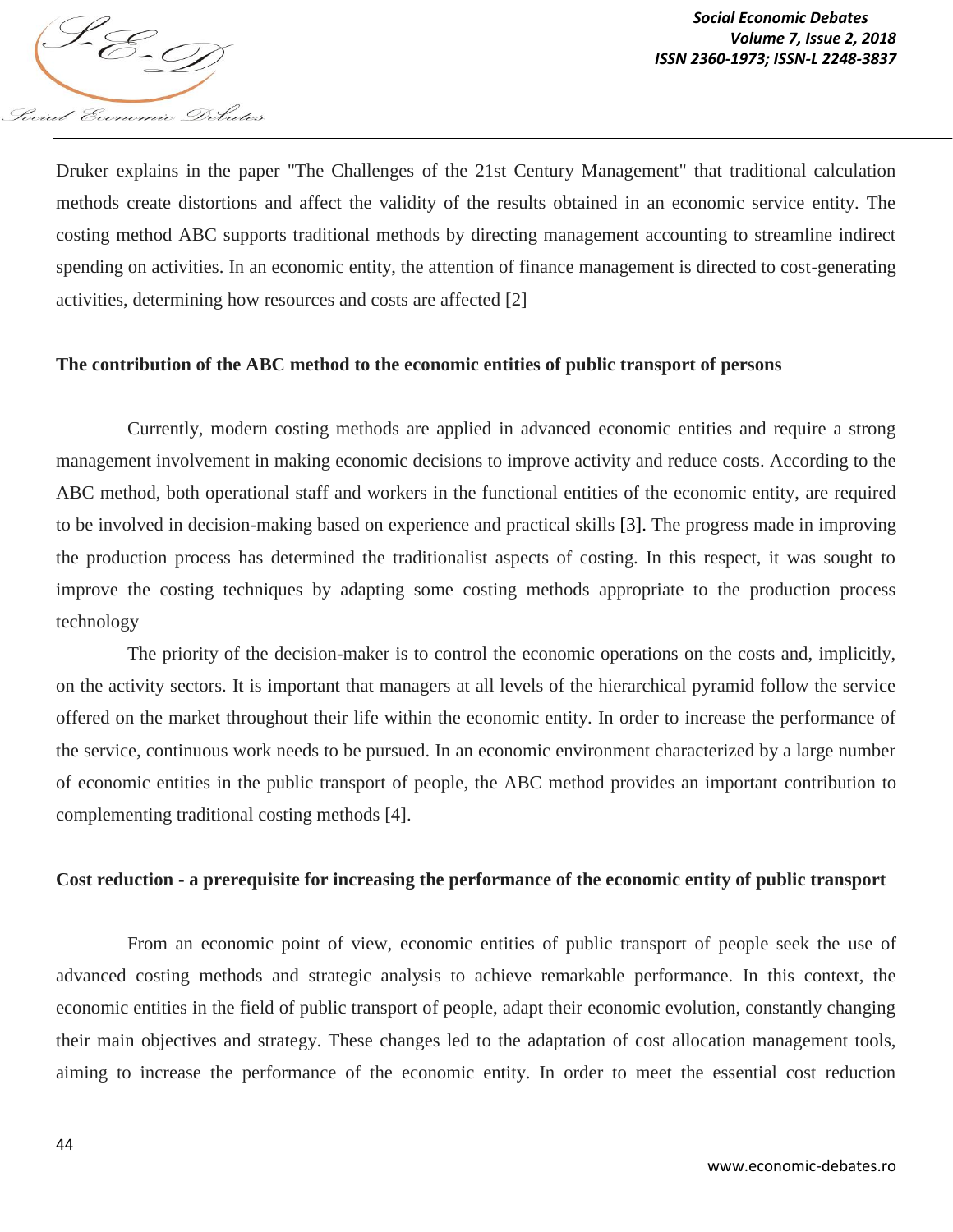

Druker explains in the paper "The Challenges of the 21st Century Management" that traditional calculation methods create distortions and affect the validity of the results obtained in an economic service entity. The costing method ABC supports traditional methods by directing management accounting to streamline indirect spending on activities. In an economic entity, the attention of finance management is directed to cost-generating activities, determining how resources and costs are affected [2]

## **The contribution of the ABC method to the economic entities of public transport of persons**

Currently, modern costing methods are applied in advanced economic entities and require a strong management involvement in making economic decisions to improve activity and reduce costs. According to the ABC method, both operational staff and workers in the functional entities of the economic entity, are required to be involved in decision-making based on experience and practical skills [3]. The progress made in improving the production process has determined the traditionalist aspects of costing. In this respect, it was sought to improve the costing techniques by adapting some costing methods appropriate to the production process technology

The priority of the decision-maker is to control the economic operations on the costs and, implicitly, on the activity sectors. It is important that managers at all levels of the hierarchical pyramid follow the service offered on the market throughout their life within the economic entity. In order to increase the performance of the service, continuous work needs to be pursued. In an economic environment characterized by a large number of economic entities in the public transport of people, the ABC method provides an important contribution to complementing traditional costing methods [4].

### **Cost reduction - a prerequisite for increasing the performance of the economic entity of public transport**

From an economic point of view, economic entities of public transport of people seek the use of advanced costing methods and strategic analysis to achieve remarkable performance. In this context, the economic entities in the field of public transport of people, adapt their economic evolution, constantly changing their main objectives and strategy. These changes led to the adaptation of cost allocation management tools, aiming to increase the performance of the economic entity. In order to meet the essential cost reduction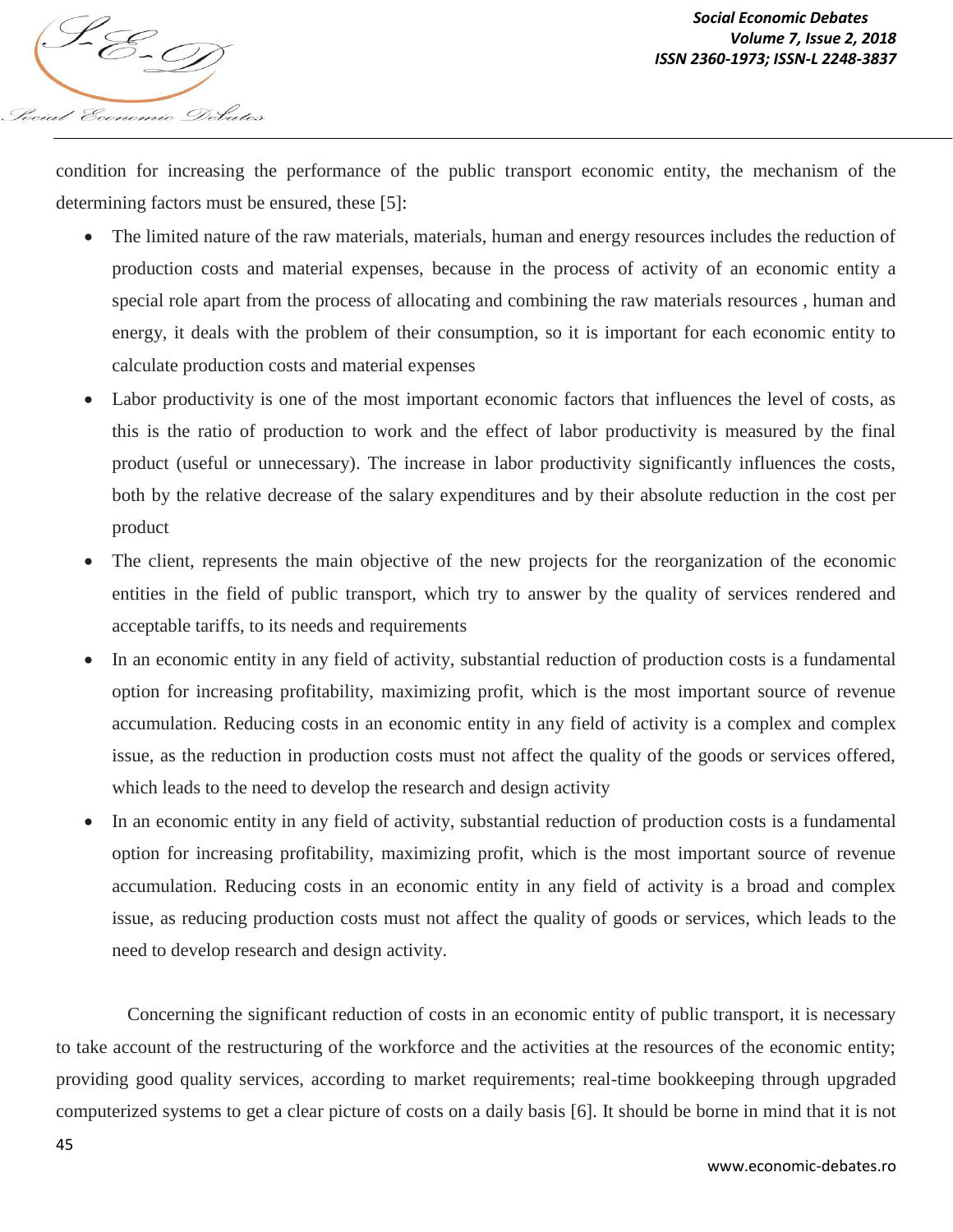

condition for increasing the performance of the public transport economic entity, the mechanism of the determining factors must be ensured, these [5]:

- The limited nature of the raw materials, materials, human and energy resources includes the reduction of production costs and material expenses, because in the process of activity of an economic entity a special role apart from the process of allocating and combining the raw materials resources , human and energy, it deals with the problem of their consumption, so it is important for each economic entity to calculate production costs and material expenses
- Labor productivity is one of the most important economic factors that influences the level of costs, as this is the ratio of production to work and the effect of labor productivity is measured by the final product (useful or unnecessary). The increase in labor productivity significantly influences the costs, both by the relative decrease of the salary expenditures and by their absolute reduction in the cost per product
- The client, represents the main objective of the new projects for the reorganization of the economic entities in the field of public transport, which try to answer by the quality of services rendered and acceptable tariffs, to its needs and requirements
- In an economic entity in any field of activity, substantial reduction of production costs is a fundamental option for increasing profitability, maximizing profit, which is the most important source of revenue accumulation. Reducing costs in an economic entity in any field of activity is a complex and complex issue, as the reduction in production costs must not affect the quality of the goods or services offered, which leads to the need to develop the research and design activity
- In an economic entity in any field of activity, substantial reduction of production costs is a fundamental option for increasing profitability, maximizing profit, which is the most important source of revenue accumulation. Reducing costs in an economic entity in any field of activity is a broad and complex issue, as reducing production costs must not affect the quality of goods or services, which leads to the need to develop research and design activity.

Concerning the significant reduction of costs in an economic entity of public transport, it is necessary to take account of the restructuring of the workforce and the activities at the resources of the economic entity; providing good quality services, according to market requirements; real-time bookkeeping through upgraded computerized systems to get a clear picture of costs on a daily basis [6]. It should be borne in mind that it is not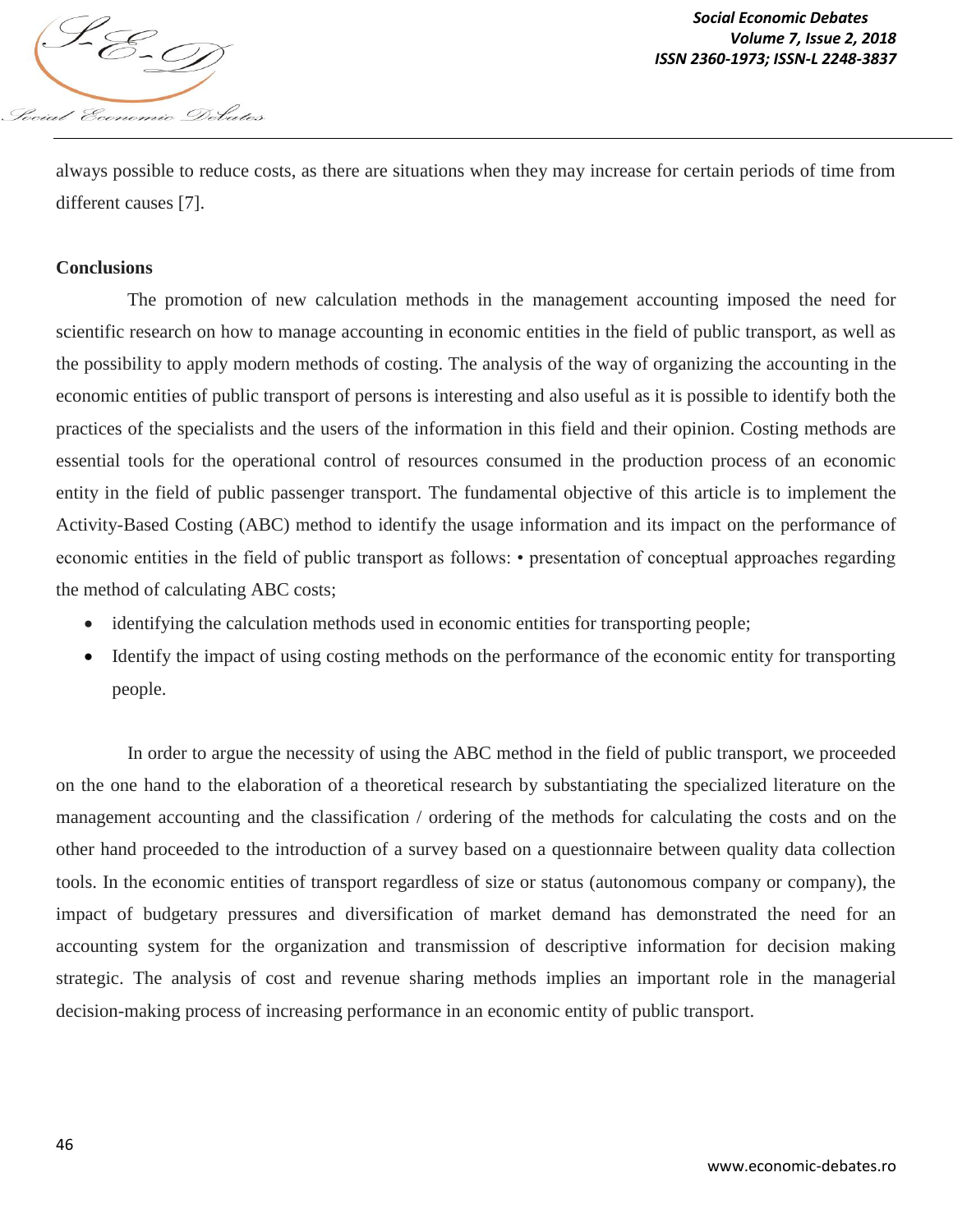

always possible to reduce costs, as there are situations when they may increase for certain periods of time from different causes [7].

## **Conclusions**

The promotion of new calculation methods in the management accounting imposed the need for scientific research on how to manage accounting in economic entities in the field of public transport, as well as the possibility to apply modern methods of costing. The analysis of the way of organizing the accounting in the economic entities of public transport of persons is interesting and also useful as it is possible to identify both the practices of the specialists and the users of the information in this field and their opinion. Costing methods are essential tools for the operational control of resources consumed in the production process of an economic entity in the field of public passenger transport. The fundamental objective of this article is to implement the Activity-Based Costing (ABC) method to identify the usage information and its impact on the performance of economic entities in the field of public transport as follows: • presentation of conceptual approaches regarding the method of calculating ABC costs;

- identifying the calculation methods used in economic entities for transporting people;
- Identify the impact of using costing methods on the performance of the economic entity for transporting people.

In order to argue the necessity of using the ABC method in the field of public transport, we proceeded on the one hand to the elaboration of a theoretical research by substantiating the specialized literature on the management accounting and the classification / ordering of the methods for calculating the costs and on the other hand proceeded to the introduction of a survey based on a questionnaire between quality data collection tools. In the economic entities of transport regardless of size or status (autonomous company or company), the impact of budgetary pressures and diversification of market demand has demonstrated the need for an accounting system for the organization and transmission of descriptive information for decision making strategic. The analysis of cost and revenue sharing methods implies an important role in the managerial decision-making process of increasing performance in an economic entity of public transport.